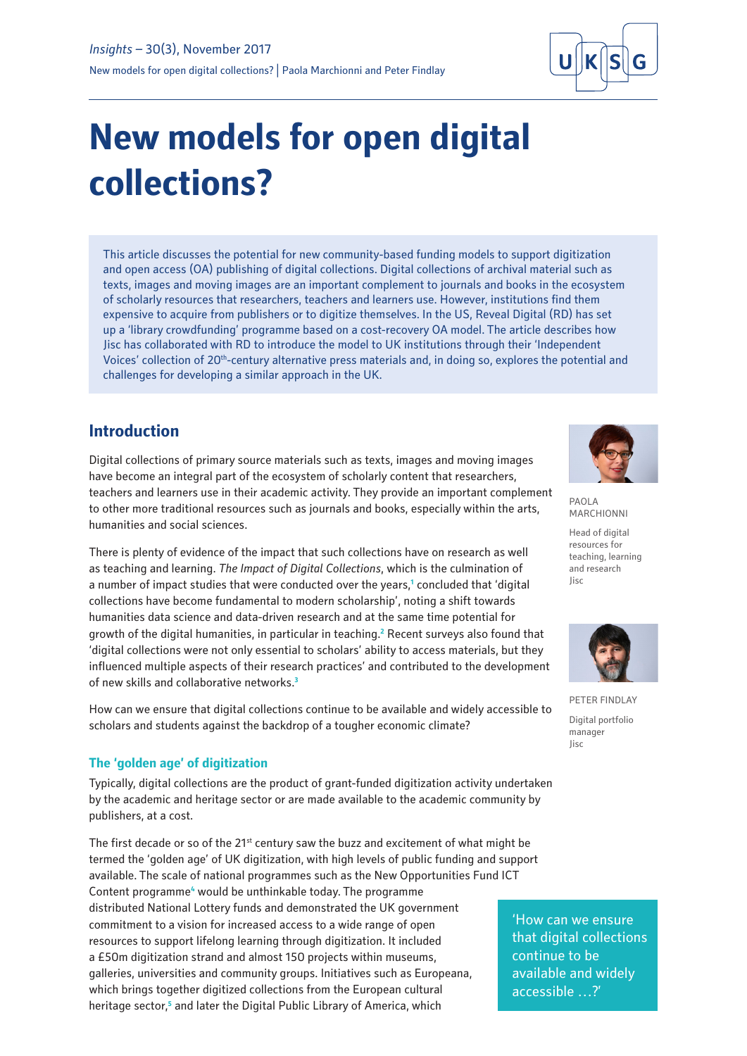

# **New models for open digital collections?**

This article discusses the potential for new community-based funding models to support digitization and open access (OA) publishing of digital collections. Digital collections of archival material such as texts, images and moving images are an important complement to journals and books in the ecosystem of scholarly resources that researchers, teachers and learners use. However, institutions find them expensive to acquire from publishers or to digitize themselves. In the US, Reveal Digital (RD) has set up a 'library crowdfunding' programme based on a cost-recovery OA model. The article describes how Jisc has collaborated with RD to introduce the model to UK institutions through their 'Independent Voices' collection of 20<sup>th</sup>-century alternative press materials and, in doing so, explores the potential and challenges for developing a similar approach in the UK.

# **Introduction**

Digital collections of primary source materials such as texts, images and moving images have become an integral part of the ecosystem of scholarly content that researchers, teachers and learners use in their academic activity. They provide an important complement to other more traditional resources such as journals and books, especially within the arts, humanities and social sciences.

There is plenty of evidence of the impact that such collections have on research as well as teaching and learning. *The Impact of Digital Collections*, which is the culmination of a number of impact studies that were conducted over the years,<sup>1</sup> concluded that 'digital collections have become fundamental to modern scholarship', noting a shift towards humanities data science and data-driven research and at the same time potential for growth of the digital humanities, in particular in teaching.<sup>2</sup> Recent surveys also found that 'digital collections were not only essential to scholars' ability to access materials, [but they](https://experts.illinois.edu/en/publications/the-role-of-digital-collections-in-scholarly-communications)  [influenced multiple aspects of their research practices'](https://experts.illinois.edu/en/publications/the-role-of-digital-collections-in-scholarly-communications) and contributed to the development of new skills and collaborative networks.**<sup>3</sup>**

How can we ensure that digital collections continue to be available and widely accessible to scholars and students against the backdrop of a tougher economic climate?

## **The 'golden age' of digitization**

Typically, digital collections are the product of grant-funded digitization activity undertaken by the academic and heritage sector or are made available to the academic community by publishers, at a cost.

The first decade or so of the 21<sup>st</sup> century saw the buzz and excitement of what might be termed the 'golden age' of UK digitization, with high levels of public funding and support available. The scale of national programmes such as the New Opportunities Fund ICT Content programme<sup>4</sup> would be unthinkable today. The programme distributed National Lottery funds and demonstrated the UK government commitment to a vision for increased access to a wide range of open resources to support lifelong learning through digitization. It included a £50m digitization strand and almost 150 projects within museums, galleries, universities and community groups. Initiatives such as Europeana, which brings together digitized collections from the European cultural heritage sector,<sup>5</sup> and later the Digital Public Library of America, which



PAOLA MARCHIONNI

Head of digital resources for teaching, learning and research Jisc



PETER FINDLAY Digital portfolio manager Jisc

'How can we ensure that digital collections continue to be available and widely accessible …?'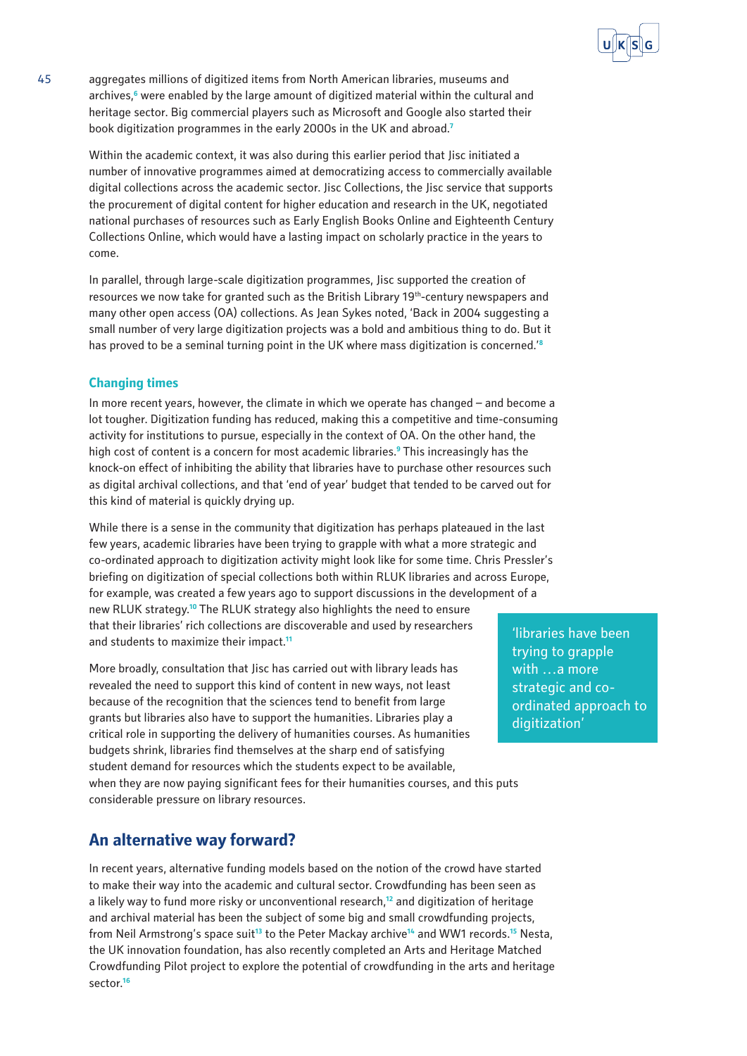

45 aggregates millions of digitized items from North American libraries, museums and archives,**<sup>6</sup>** were enabled by the large amount of digitized material within the cultural and heritage sector. Big commercial players such as Microsoft and Google also started their book digitization programmes in the early 2000s in the UK and abroad.**<sup>7</sup>**

Within the academic context, it was also during this earlier period that Jisc initiated a number of innovative programmes aimed at democratizing access to commercially available digital collections across the academic sector. Jisc Collections, the Jisc service that supports the procurement of digital content for higher education and research in the UK, negotiated national purchases of resources such as Early English Books Online and Eighteenth Century Collections Online, which would have a lasting impact on scholarly practice in the years to come.

In parallel, through large-scale digitization programmes, Jisc supported the creation of resources we now take for granted such as the British Library 19th-century newspapers and many other open access (OA) collections. As Jean Sykes noted, 'Back in 2004 suggesting a small number of very large digitization projects was a bold and ambitious thing to do. But it has proved to be a seminal turning point in the UK where mass digitization is concerned.'**<sup>8</sup>**

## **Changing times**

In more recent years, however, the climate in which we operate has changed – and become a lot tougher. Digitization funding has reduced, making this a competitive and time-consuming activity for institutions to pursue, especially in the context of OA. On the other hand, the high cost of content is a concern for most academic libraries.**<sup>9</sup>** This increasingly has the knock-on effect of inhibiting the ability that libraries have to purchase other resources such as digital archival collections, and that 'end of year' budget that tended to be carved out for this kind of material is quickly drying up.

While there is a sense in the community that digitization has perhaps plateaued in the last few years, academic libraries have been trying to grapple with what a more strategic and co-ordinated approach to digitization activity might look like for some time. Chris Pressler's briefing on digitization of special collections both within RLUK libraries and across Europe, for example, was created a few years ago to support discussions in the development of a new RLUK strategy.**<sup>10</sup>** The RLUK strategy also highlights the need to ensure that their libraries' rich collections are discoverable and used by researchers and students to maximize their impact.**<sup>11</sup>**

More broadly, consultation that Jisc has carried out with library leads has revealed the need to support this kind of content in new ways, not least because of the recognition that the sciences tend to benefit from large grants but libraries also have to support the humanities. Libraries play a critical role in supporting the delivery of humanities courses. As humanities budgets shrink, libraries find themselves at the sharp end of satisfying student demand for resources which the students expect to be available, when they are now paying significant fees for their humanities courses, and this puts considerable pressure on library resources.

# **An alternative way forward?**

In recent years, alternative funding models based on the notion of the crowd have started to make their way into the academic and cultural sector. Crowdfunding has been seen as a likely way to fund more risky or unconventional research,**<sup>12</sup>** and digitization of heritage and archival material has been the subject of some big and small crowdfunding projects, from Neil Armstrong's space suit**<sup>13</sup>** to the Peter Mackay archive**<sup>14</sup>** and WW1 records.**<sup>15</sup>** Nesta, the UK innovation foundation, has also recently completed an Arts and Heritage Matched Crowdfunding Pilot project to explore the potential of crowdfunding in the arts and heritage sector.**<sup>16</sup>**

'libraries have been trying to grapple with …a more strategic and coordinated approach to digitization'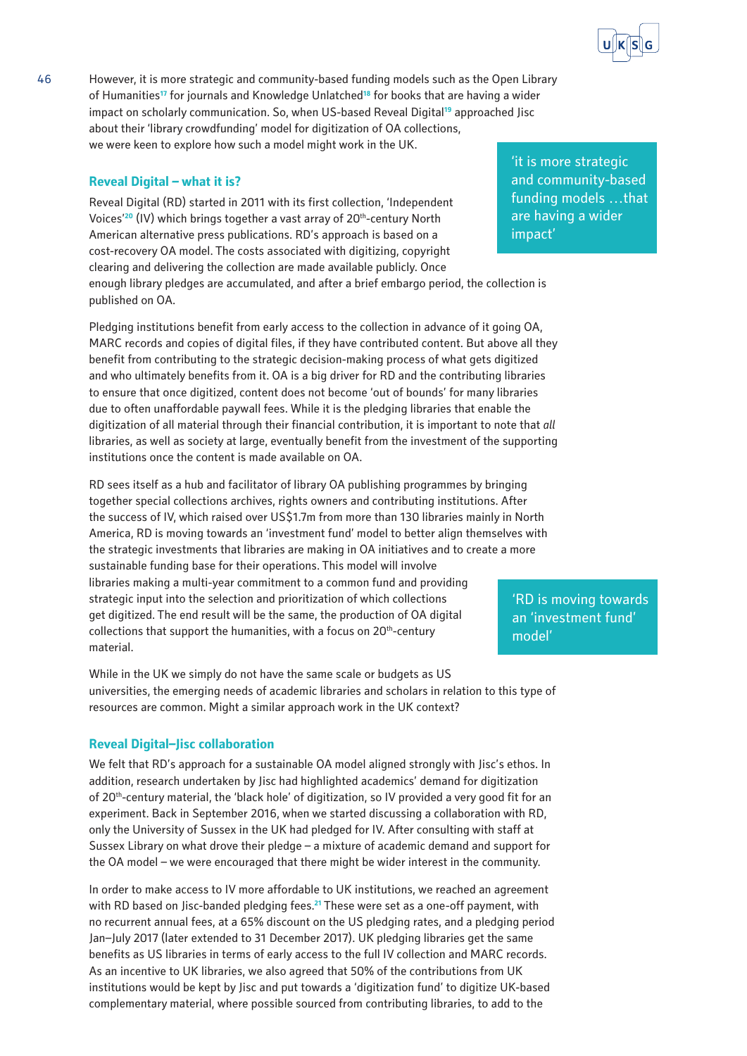

46 However, it is more strategic and community-based funding models such as the Open Library of Humanities**<sup>17</sup>** for journals and Knowledge Unlatched**<sup>18</sup>** for books that are having a wider impact on scholarly communication. So, when US-based Reveal Digital**<sup>19</sup>** approached Jisc about their 'library crowdfunding' model for digitization of OA collections, we were keen to explore how such a model might work in the UK.

## **Reveal Digital – what it is?**

Reveal Digital (RD) started in 2011 with its first collection, 'Independent Voices<sup>'20</sup> (IV) which brings together a vast array of 20<sup>th</sup>-century North American alternative press publications. RD's approach is based on a cost-recovery OA model. The costs associated with digitizing, copyright clearing and delivering the collection are made available publicly. Once enough library pledges are accumulated, and after a brief embargo period, the collection is published on OA.

Pledging institutions benefit from early access to the collection in advance of it going OA, MARC records and copies of digital files, if they have contributed content. But above all they benefit from contributing to the strategic decision-making process of what gets digitized and who ultimately benefits from it. OA is a big driver for RD and the contributing libraries to ensure that once digitized, content does not become 'out of bounds' for many libraries due to often unaffordable paywall fees. While it is the pledging libraries that enable the digitization of all material through their financial contribution, it is important to note that *all* libraries, as well as society at large, eventually benefit from the investment of the supporting institutions once the content is made available on OA.

RD sees itself as a hub and facilitator of library OA publishing programmes by bringing together special collections archives, rights owners and contributing institutions. After the success of IV, which raised over US\$1.7m from more than 130 libraries mainly in North America, RD is moving towards an 'investment fund' model to better align themselves with the strategic investments that libraries are making in OA initiatives and to create a more sustainable funding base for their operations. This model will involve libraries making a multi-year commitment to a common fund and providing strategic input into the selection and prioritization of which collections get digitized. The end result will be the same, the production of OA digital collections that support the humanities, with a focus on  $20<sup>th</sup>$ -century material.

While in the UK we simply do not have the same scale or budgets as US universities, the emerging needs of academic libraries and scholars in relation to this type of resources are common. Might a similar approach work in the UK context?

## **Reveal Digital–Jisc collaboration**

We felt that RD's approach for a sustainable OA model aligned strongly with Jisc's ethos. In addition, research undertaken by Jisc had highlighted academics' demand for digitization of 20<sup>th</sup>-century material, the 'black hole' of digitization, so IV provided a very good fit for an experiment. Back in September 2016, when we started discussing a collaboration with RD, only the University of Sussex in the UK had pledged for IV. After consulting with staff at Sussex Library on what drove their pledge – a mixture of academic demand and support for the OA model – we were encouraged that there might be wider interest in the community.

In order to make access to IV more affordable to UK institutions, we reached an agreement with RD based on Jisc-banded pledging fees.**<sup>21</sup>** These were set as a one-off payment, with no recurrent annual fees, at a 65% discount on the US pledging rates, and a pledging period Jan–July 2017 (later extended to 31 December 2017). UK pledging libraries get the same benefits as US libraries in terms of early access to the full IV collection and MARC records. As an incentive to UK libraries, we also agreed that 50% of the contributions from UK institutions would be kept by Jisc and put towards a 'digitization fund' to digitize UK-based complementary material, where possible sourced from contributing libraries, to add to the

'it is more strategic and community-based funding models …that are having a wider impact'

'RD is moving towards an 'investment fund' model'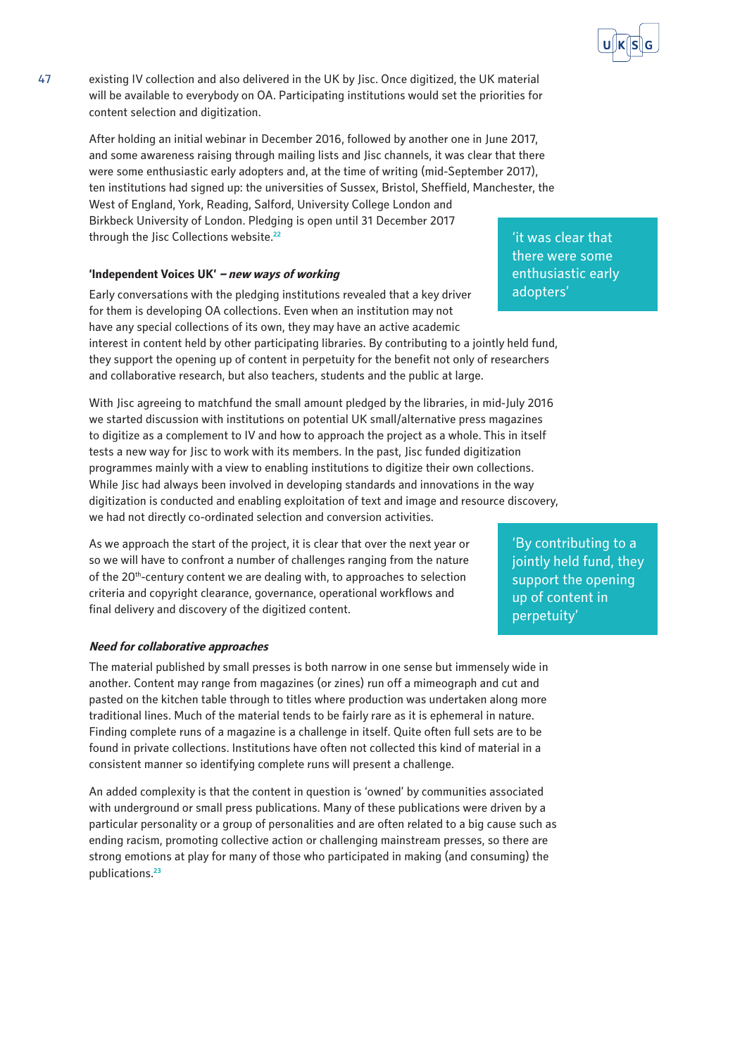

47 existing IV collection and also delivered in the UK by Jisc. Once digitized, the UK material will be available to everybody on OA. Participating institutions would set the priorities for content selection and digitization.

After holding an initial webinar in December 2016, followed by another one in June 2017, and some awareness raising through mailing lists and Jisc channels, it was clear that there were some enthusiastic early adopters and, at the time of writing (mid-September 2017), ten institutions had signed up: the universities of Sussex, Bristol, Sheffield, Manchester, the West of England, York, Reading, Salford, University College London and Birkbeck University of London. Pledging is open until 31 December 2017 through the Jisc Collections website.**<sup>22</sup>**

#### **'Independent Voices UK' – new ways of working**

Early conversations with the pledging institutions revealed that a key driver for them is developing OA collections. Even when an institution may not have any special collections of its own, they may have an active academic interest in content held by other participating libraries. By contributing to a jointly held fund, they support the opening up of content in perpetuity for the benefit not only of researchers and collaborative research, but also teachers, students and the public at large.

With Jisc agreeing to matchfund the small amount pledged by the libraries, in mid-July 2016 we started discussion with institutions on potential UK small/alternative press magazines to digitize as a complement to IV and how to approach the project as a whole. This in itself tests a new way for Jisc to work with its members. In the past, Jisc funded digitization programmes mainly with a view to enabling institutions to digitize their own collections. While Jisc had always been involved in developing standards and innovations in the way digitization is conducted and enabling exploitation of text and image and resource discovery, we had not directly co-ordinated selection and conversion activities.

As we approach the start of the project, it is clear that over the next year or so we will have to confront a number of challenges ranging from the nature of the 20<sup>th</sup>-century content we are dealing with, to approaches to selection criteria and copyright clearance, governance, operational workflows and final delivery and discovery of the digitized content.

#### **Need for collaborative approaches**

The material published by small presses is both narrow in one sense but immensely wide in another. Content may range from magazines (or zines) run off a mimeograph and cut and pasted on the kitchen table through to titles where production was undertaken along more traditional lines. Much of the material tends to be fairly rare as it is ephemeral in nature. Finding complete runs of a magazine is a challenge in itself. Quite often full sets are to be found in private collections. Institutions have often not collected this kind of material in a consistent manner so identifying complete runs will present a challenge.

An added complexity is that the content in question is 'owned' by communities associated with underground or small press publications. Many of these publications were driven by a particular personality or a group of personalities and are often related to a big cause such as ending racism, promoting collective action or challenging mainstream presses, so there are strong emotions at play for many of those who participated in making (and consuming) the publications.**<sup>23</sup>**

'it was clear that there were some enthusiastic early adopters'

'By contributing to a jointly held fund, they support the opening up of content in perpetuity'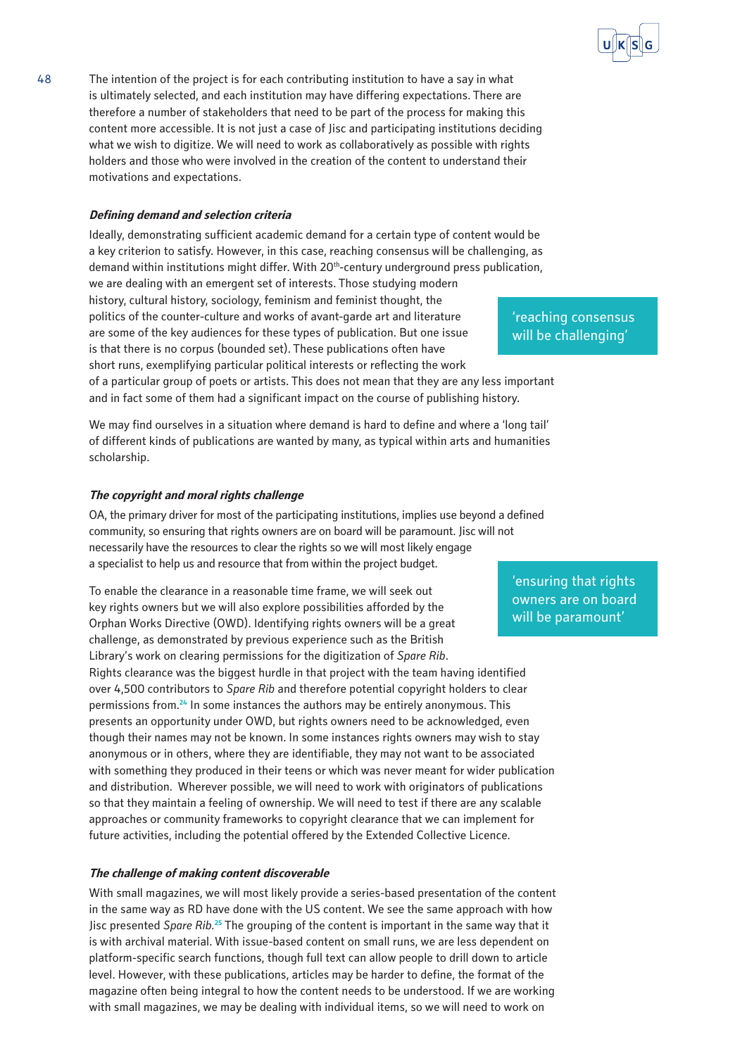

#### **Defining demand and selection criteria**

motivations and expectations.

Ideally, demonstrating sufficient academic demand for a certain type of content would be a key criterion to satisfy. However, in this case, reaching consensus will be challenging, as demand within institutions might differ. With 20<sup>th</sup>-century underground press publication, we are dealing with an emergent set of interests. Those studying modern history, cultural history, sociology, feminism and feminist thought, the politics of the counter-culture and works of avant-garde art and literature are some of the key audiences for these types of publication. But one issue is that there is no corpus (bounded set). These publications often have short runs, exemplifying particular political interests or reflecting the work of a particular group of poets or artists. This does not mean that they are any less important and in fact some of them had a significant impact on the course of publishing history.

holders and those who were involved in the creation of the content to understand their

We may find ourselves in a situation where demand is hard to define and where a 'long tail' of different kinds of publications are wanted by many, as typical within arts and humanities scholarship.

#### **The copyright and moral rights challenge**

OA, the primary driver for most of the participating institutions, implies use beyond a defined community, so ensuring that rights owners are on board will be paramount. Jisc will not necessarily have the resources to clear the rights so we will most likely engage a specialist to help us and resource that from within the project budget.

To enable the clearance in a reasonable time frame, we will seek out key rights owners but we will also explore possibilities afforded by the Orphan Works Directive (OWD). Identifying rights owners will be a great challenge, as demonstrated by previous experience such as the British Library's work on clearing permissions for the digitization of *Spare Rib*. Rights clearance was the biggest hurdle in that project with the team having identified over 4,500 contributors to *Spare Rib* and therefore potential copyright holders to clear permissions from.**<sup>24</sup>** In some instances the authors may be entirely anonymous. This presents an opportunity under OWD, but rights owners need to be acknowledged, even though their names may not be known. In some instances rights owners may wish to stay anonymous or in others, where they are identifiable, they may not want to be associated with something they produced in their teens or which was never meant for wider publication and distribution. Wherever possible, we will need to work with originators of publications so that they maintain a feeling of ownership. We will need to test if there are any scalable approaches or community frameworks to copyright clearance that we can implement for future activities, including the potential offered by the Extended Collective Licence.

#### **The challenge of making content discoverable**

With small magazines, we will most likely provide a series-based presentation of the content in the same way as RD have done with the US content. We see the same approach with how Jisc presented *Spare Rib.***<sup>25</sup>** The grouping of the content is important in the same way that it is with archival material. With issue-based content on small runs, we are less dependent on platform-specific search functions, though full text can allow people to drill down to article level. However, with these publications, articles may be harder to define, the format of the magazine often being integral to how the content needs to be understood. If we are working with small magazines, we may be dealing with individual items, so we will need to work on

'reaching consensus will be challenging'

'ensuring that rights owners are on board will be paramount'

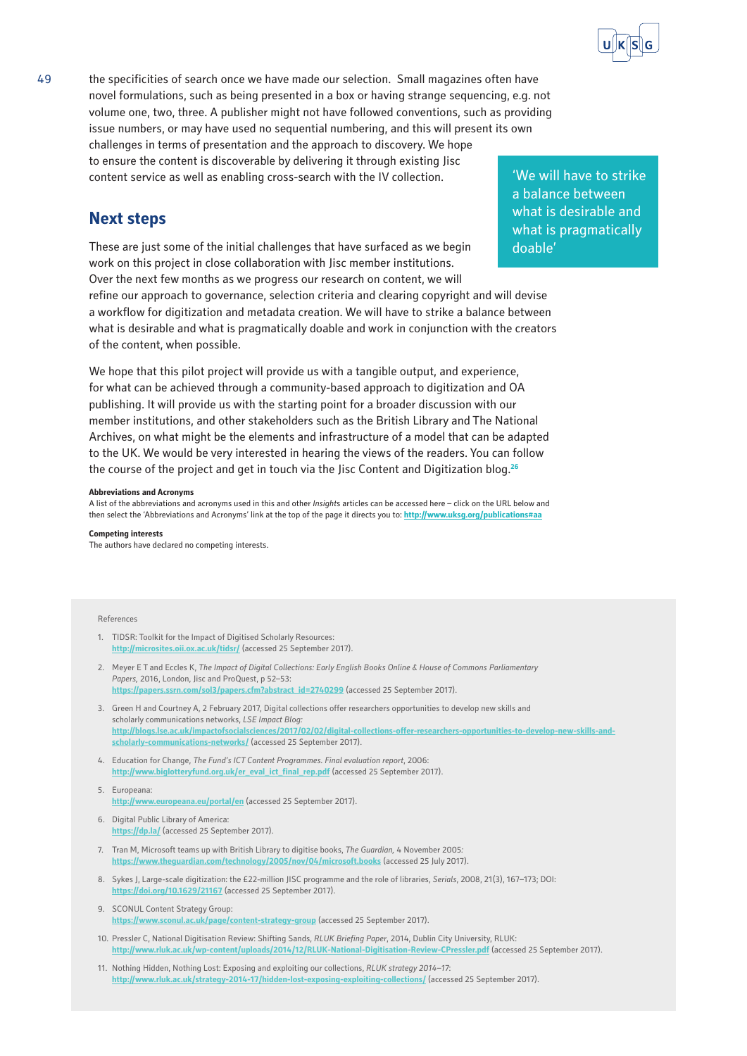

49 the specificities of search once we have made our selection. Small magazines often have novel formulations, such as being presented in a box or having strange sequencing, e.g. not volume one, two, three. A publisher might not have followed conventions, such as providing issue numbers, or may have used no sequential numbering, and this will present its own challenges in terms of presentation and the approach to discovery. We hope to ensure the content is discoverable by delivering it through existing Jisc content service as well as enabling cross-search with the IV collection.

## **Next steps**

These are just some of the initial challenges that have surfaced as we begin work on this project in close collaboration with Jisc member institutions. Over the next few months as we progress our research on content, we will refine our approach to governance, selection criteria and clearing copyright and will devise a workflow for digitization and metadata creation. We will have to strike a balance between what is desirable and what is pragmatically doable and work in conjunction with the creators of the content, when possible.

We hope that this pilot project will provide us with a tangible output, and experience, for what can be achieved through a community-based approach to digitization and OA publishing. It will provide us with the starting point for a broader discussion with our member institutions, and other stakeholders such as the British Library and The National Archives, on what might be the elements and infrastructure of a model that can be adapted to the UK. We would be very interested in hearing the views of the readers. You can follow the course of the project and get in touch via the Jisc Content and Digitization blog.**<sup>26</sup>**

#### **Abbreviations and Acronyms**

A list of the abbreviations and acronyms used in this and other *Insight*s articles can be accessed here – click on the URL below and then select the 'Abbreviations and Acronyms' link at the top of the page it directs you to: **<http://www.uksg.org/publications#aa>**

#### **Competing interests**

The authors have declared no competing interests.

#### References

- 1. TIDSR: Toolkit for the Impact of Digitised Scholarly Resources: **<http://microsites.oii.ox.ac.uk/tidsr/>** (accessed 25 September 2017).
- 2. Meyer E T and Eccles K, *The Impact of Digital Collections: Early English Books Online & House of Commons Parliamentary Papers,* 2016, London, Jisc and ProQuest, p 52–53: **[https://papers.ssrn.com/sol3/papers.cfm?abstract\\_id=2740299](https://papers.ssrn.com/sol3/papers.cfm?abstract_id=2740299)** (accessed 25 September 2017).
- 3. Green H and Courtney A, 2 February 2017, Digital collections offer researchers opportunities to develop new skills and scholarly communications networks, *LSE Impact Blog:* **[http://blogs.lse.ac.uk/impactofsocialsciences/2017/02/02/digital-collections-offer-researchers-opportunities-to-develop-new-skills-and](http://blogs.lse.ac.uk/impactofsocialsciences/2017/02/02/digital-collections-offer-researchers-opportunities-to-develop-new-skills-and-scholarly-communications-networks/)[scholarly-communications-networks/](http://blogs.lse.ac.uk/impactofsocialsciences/2017/02/02/digital-collections-offer-researchers-opportunities-to-develop-new-skills-and-scholarly-communications-networks/)** (accessed 25 September 2017).
- 4. Education for Change, *The Fund's ICT Content Programmes. Final evaluation report*, 2006: [http://www.biglotteryfund.org.uk/er\\_eval\\_ict\\_final\\_rep.pdf](http://www.biglotteryfund.org.uk/er_eval_ict_final_rep.pdf) (accessed 25 September 2017).
- 5. Europeana: **<http://www.europeana.eu/portal/en>** (accessed 25 September 2017).
- 6. Digital Public Library of America: **<https://dp.la/>** (accessed 25 September 2017).
- 7. Tran M, Microsoft teams up with British Library to digitise books, *The Guardian,* 4 November 2005*:* **<https://www.theguardian.com/technology/2005/nov/04/microsoft.books>** (accessed 25 July 2017).
- 8. Sykes J, Large-scale digitization: the £22-million JISC programme and the role of libraries, *Serials*, 2008, 21(3), 167–173; DOI: **<https://doi.org/10.1629/21167>** (accessed 25 September 2017).
- 9. SCONUL Content Strategy Group: **<https://www.sconul.ac.uk/page/content-strategy-group>** (accessed 25 September 2017).
- 10. Pressler C, National Digitisation Review: Shifting Sands, *RLUK Briefing Paper*, 2014, Dublin City University, RLUK: **<http://www.rluk.ac.uk/wp-content/uploads/2014/12/RLUK-National-Digitisation-Review-CPressler.pdf>** (accessed 25 September 2017).
- 11. Nothing Hidden, Nothing Lost: Exposing and exploiting our collections, *RLUK strategy 2014–17*: **<http://www.rluk.ac.uk/strategy-2014-17/hidden-lost-exposing-exploiting-collections/>** (accessed 25 September 2017).

'We will have to strike a balance between what is desirable and what is pragmatically doable'